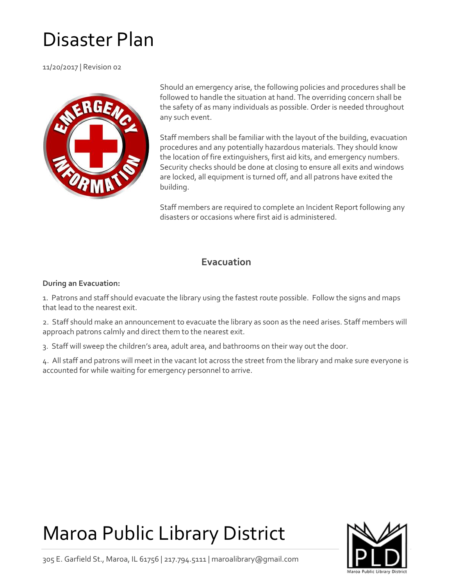# Disaster Plan

11/20/2017 | Revision 02



Should an emergency arise, the following policies and procedures shall be followed to handle the situation at hand. The overriding concern shall be the safety of as many individuals as possible. Order is needed throughout any such event.

Staff members shall be familiar with the layout of the building, evacuation procedures and any potentially hazardous materials. They should know the location of fire extinguishers, first aid kits, and emergency numbers. Security checks should be done at closing to ensure all exits and windows are locked, all equipment is turned off, and all patrons have exited the building.

Staff members are required to complete an Incident Report following any disasters or occasions where first aid is administered.

# **Evacuation**

### **During an Evacuation:**

1. Patrons and staff should evacuate the library using the fastest route possible. Follow the signs and maps that lead to the nearest exit.

2. Staff should make an announcement to evacuate the library as soon as the need arises. Staff members will approach patrons calmly and direct them to the nearest exit.

3. Staff will sweep the children's area, adult area, and bathrooms on their way out the door.

4. All staff and patrons will meet in the vacant lot across the street from the library and make sure everyone is accounted for while waiting for emergency personnel to arrive.

# Maroa Public Library District

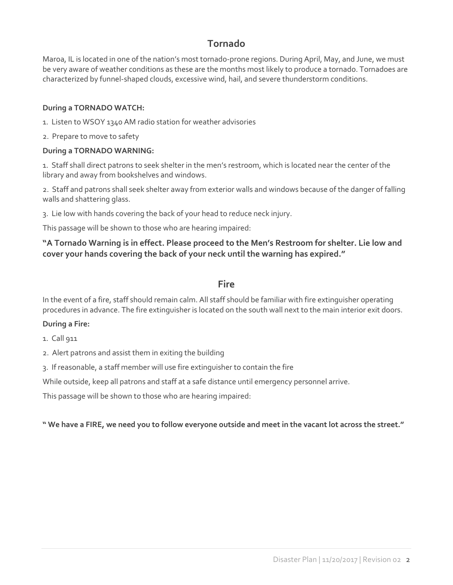# **Tornado**

Maroa, IL is located in one of the nation's most tornado-prone regions. During April, May, and June, we must be very aware of weather conditions as these are the months most likely to produce a tornado. Tornadoes are characterized by funnel-shaped clouds, excessive wind, hail, and severe thunderstorm conditions.

# **During a TORNADO WATCH:**

- 1. Listen to WSOY 1340 AM radio station for weather advisories
- 2. Prepare to move to safety

# **During a TORNADO WARNING:**

1. Staff shall direct patrons to seek shelter in the men's restroom, which is located near the center of the library and away from bookshelves and windows.

2. Staff and patrons shall seek shelter away from exterior walls and windows because of the danger of falling walls and shattering glass.

3. Lie low with hands covering the back of your head to reduce neck injury.

This passage will be shown to those who are hearing impaired:

# **"A Tornado Warning is in effect. Please proceed to the Men's Restroom for shelter. Lie low and cover your hands covering the back of your neck until the warning has expired."**

# **Fire**

In the event of a fire, staff should remain calm. All staff should be familiar with fire extinguisher operating procedures in advance. The fire extinguisher is located on the south wall next to the main interior exit doors.

### **During a Fire:**

- 1. Call 911
- 2. Alert patrons and assist them in exiting the building
- 3. If reasonable, a staff member will use fire extinguisher to contain the fire

While outside, keep all patrons and staff at a safe distance until emergency personnel arrive.

This passage will be shown to those who are hearing impaired:

# **" We have a FIRE, we need you to follow everyone outside and meet in the vacant lot across the street."**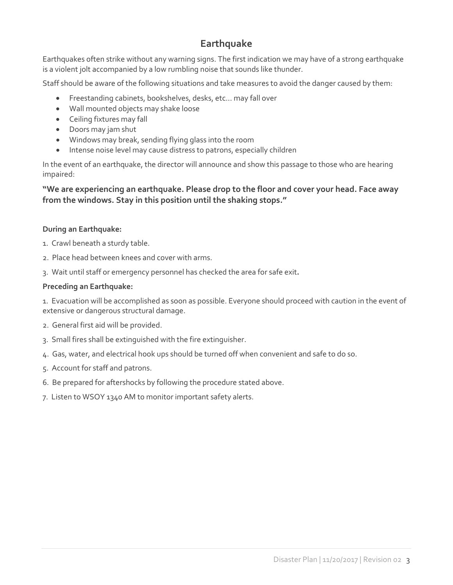# **Earthquake**

Earthquakes often strike without any warning signs. The first indication we may have of a strong earthquake is a violent jolt accompanied by a low rumbling noise that sounds like thunder.

Staff should be aware of the following situations and take measures to avoid the danger caused by them:

- Freestanding cabinets, bookshelves, desks, etc... may fall over
- Wall mounted objects may shake loose
- Ceiling fixtures may fall
- Doors may jam shut
- Windows may break, sending flying glass into the room
- Intense noise level may cause distress to patrons, especially children

In the event of an earthquake, the director will announce and show this passage to those who are hearing impaired:

# **"We are experiencing an earthquake. Please drop to the floor and cover your head. Face away from the windows. Stay in this position until the shaking stops."**

### **During an Earthquake:**

- 1. Crawl beneath a sturdy table.
- 2. Place head between knees and cover with arms.
- 3. Wait until staff or emergency personnel has checked the area for safe exit**.**

### **Preceding an Earthquake:**

1. Evacuation will be accomplished as soon as possible. Everyone should proceed with caution in the event of extensive or dangerous structural damage.

- 2. General first aid will be provided.
- 3. Small fires shall be extinguished with the fire extinguisher.
- 4. Gas, water, and electrical hook ups should be turned off when convenient and safe to do so.
- 5. Account for staff and patrons.
- 6. Be prepared for aftershocks by following the procedure stated above.
- 7. Listen to WSOY 1340 AM to monitor important safety alerts.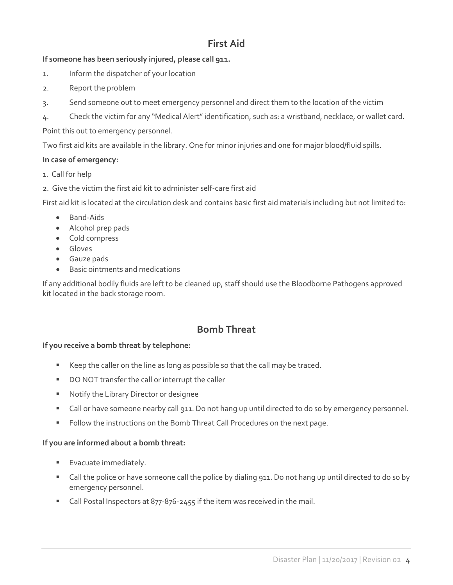# **First Aid**

# **If someone has been seriously injured, please call 911.**

- 1. Inform the dispatcher of your location
- 2. Report the problem
- 3. Send someone out to meet emergency personnel and direct them to the location of the victim
- 4. Check the victim for any "Medical Alert" identification, such as: a wristband, necklace, or wallet card.

Point this out to emergency personnel.

Two first aid kits are available in the library. One for minor injuries and one for major blood/fluid spills.

# **In case of emergency:**

- 1. Call for help
- 2. Give the victim the first aid kit to administer self-care first aid

First aid kit is located at the circulation desk and contains basic first aid materials including but not limited to:

- Band-Aids
- Alcohol prep pads
- Cold compress
- Gloves
- Gauze pads
- Basic ointments and medications

If any additional bodily fluids are left to be cleaned up, staff should use the Bloodborne Pathogens approved kit located in the back storage room.

# **Bomb Threat**

### **If you receive a bomb threat by telephone:**

- Keep the caller on the line as long as possible so that the call may be traced.
- DO NOT transfer the call or interrupt the caller
- **Notify the Library Director or designee**
- Call or have someone nearby call 911. Do not hang up until directed to do so by emergency personnel.
- **Follow the instructions on the Bomb Threat Call Procedures on the next page.**

### **If you are informed about a bomb threat:**

- **Evacuate immediately.**
- Call the police or have someone call the police by dialing 911. Do not hang up until directed to do so by emergency personnel.
- Call Postal Inspectors at 877-876-2455 if the item was received in the mail.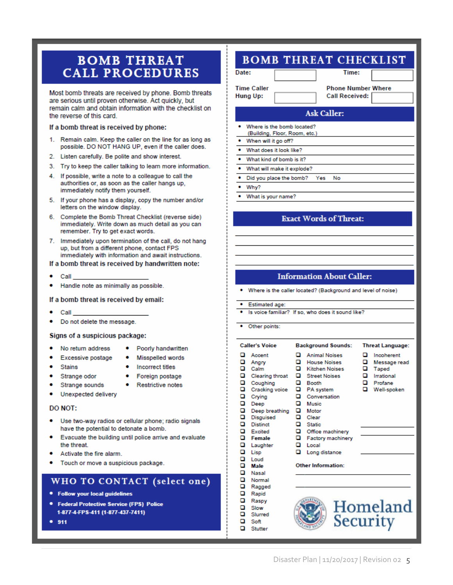# **BOMB THREAT CALL PROCEDURES**

Most bomb threats are received by phone. Bomb threats are serious until proven otherwise. Act quickly, but remain calm and obtain information with the checklist on the reverse of this card.

#### If a bomb threat is received by phone:

- 1. Remain calm. Keep the caller on the line for as long as possible. DO NOT HANG UP, even if the caller does.
- 2. Listen carefully. Be polite and show interest.
- 3. Try to keep the caller talking to learn more information.
- 4. If possible, write a note to a colleague to call the authorities or, as soon as the caller hangs up, immediately notify them yourself.
- 5. If your phone has a display, copy the number and/or letters on the window display.
- 6. Complete the Bomb Threat Checklist (reverse side) immediately. Write down as much detail as you can remember. Try to get exact words.
- 7. Immediately upon termination of the call, do not hang up, but from a different phone, contact FPS immediately with information and await instructions.

#### If a bomb threat is received by handwritten note:

- Call
- Handle note as minimally as possible.

#### If a bomb threat is received by email:

- Call
- Do not delete the message.

#### Signs of a suspicious package:

- No return address
- Poorly handwritten
- Excessive postage
- Misspelled words
- **Stains**
- **Incorrect titles**
- Strange odor
- 
- Unexpected delivery

#### **DO NOT:**

- Use two-way radios or cellular phone; radio signals have the potential to detonate a bomb.
- Evacuate the building until police arrive and evaluate the threat.
- Activate the fire alarm.
- Touch or move a suspicious package.

# WHO TO CONTACT (select one)

- Follow your local guidelines
- **Federal Protective Service (FPS) Police** 1-877-4-FPS-411 (1-877-437-7411)
- 911

# **BOMB THREAT CHECKLIST**

**Time Caller** 

Date:

Time:

**Hung Up:** 

**Phone Number Where Call Received:** 

#### **Ask Caller:**

- Where is the bomb located? (Building, Floor, Room, etc.)
- $\bullet$ When will it go off?
- $\bullet$ What does it look like?
- ÷ What kind of bomb is it?
- What will make it explode?
- $\bullet$ Did you place the bomb? Yes **No**
- Why?
- ۰ What is your name?

#### **Exact Words of Threat:**

#### **Information About Caller:**

- Where is the caller located? (Background and level of noise)
- Estimated age:
- Is voice familiar? If so, who does it sound like?

 $\Box$ 

O

 $\Box$ 

 $\Box$ 

o Clear

o Local

О

• Other points:

### **Background Sounds:**

**D** House Noises

**Q** Kitchen Noises

Street Noises

PA system

Office machinery

**Q** Factory machinery

Long distance

Other Information:

Q Conversation

Booth

**Q** Music

 $\Box$  Static

Motor

**Animal Noises** 

- **Caller's Voice** Q Accent Angry  $Q$  Calm
- $\Box$  Clearing throat Coughing O n. Cracking voice

O.

- Q Crying
- $\Box$  Deep
- $\Box$ Deep breathing
- o Disguised o. **Distinct**
- o. Excited
- $\Box$ Female
- o Laughter ο Lisp
- $\Box$ Loud
- o Male
- $\Box$ Nasal Normal
- о o Ragged
- O Rapid
- $\Box$ Raspy  $\Box$ Slow
- o Slurred
- $\Box$ Soft
- Ο Stutter



**Threat Language:** 

Incoherent

Message read

 $\Box$ 

n.

o

Q Taped

**Q** Irrational

Profane

**Q** Well-spoken

- Foreign postage **Restrictive notes**
- Strange sounds
- 
-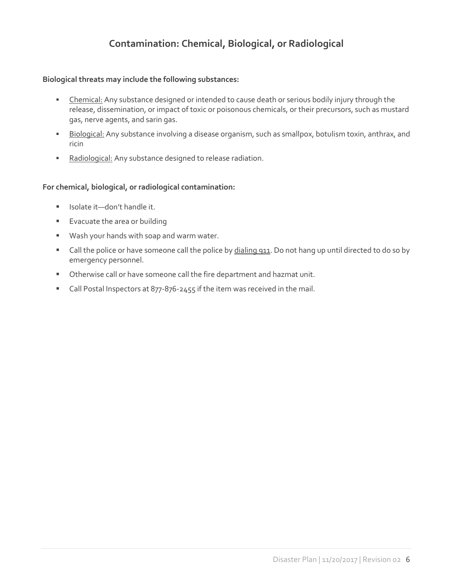# **Contamination: Chemical, Biological, or Radiological**

### **Biological threats may include the following substances:**

- **EXECO EXECO EXECO EXECO F** Chemical: Any substance designed or intended to cause death or serious bodily injury through the release, dissemination, or impact of toxic or poisonous chemicals, or their precursors, such as mustard gas, nerve agents, and sarin gas.
- Biological: Any substance involving a disease organism, such as smallpox, botulism toxin, anthrax, and ricin
- Radiological: Any substance designed to release radiation.

### **For chemical, biological, or radiological contamination:**

- Isolate it-don't handle it.
- **Exacuate the area or building**
- Wash your hands with soap and warm water.
- Call the police or have someone call the police by dialing 911. Do not hang up until directed to do so by emergency personnel.
- Otherwise call or have someone call the fire department and hazmat unit.
- Call Postal Inspectors at 877-876-2455 if the item was received in the mail.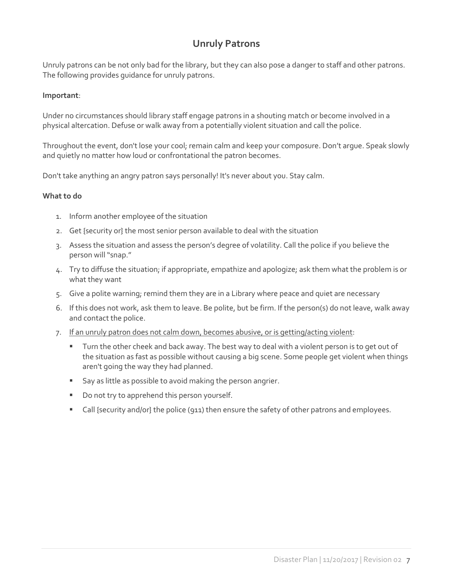# **Unruly Patrons**

Unruly patrons can be not only bad for the library, but they can also pose a danger to staff and other patrons. The following provides guidance for unruly patrons.

## **Important**:

Under no circumstances should library staff engage patrons in a shouting match or become involved in a physical altercation. Defuse or walk away from a potentially violent situation and call the police.

Throughout the event, don't lose your cool; remain calm and keep your composure. Don't argue. Speak slowly and quietly no matter how loud or confrontational the patron becomes.

Don't take anything an angry patron says personally! It's never about you. Stay calm.

### **What to do**

- 1. Inform another employee of the situation
- 2. Get {security or} the most senior person available to deal with the situation
- 3. Assess the situation and assess the person's degree of volatility. Call the police if you believe the person will "snap."
- 4. Try to diffuse the situation; if appropriate, empathize and apologize; ask them what the problem is or what they want
- 5. Give a polite warning; remind them they are in a Library where peace and quiet are necessary
- 6. If this does not work, ask them to leave. Be polite, but be firm. If the person(s) do not leave, walk away and contact the police.
- 7. If an unruly patron does not calm down, becomes abusive, or is getting/acting violent:
	- Turn the other cheek and back away. The best way to deal with a violent person is to get out of the situation as fast as possible without causing a big scene. Some people get violent when things aren't going the way they had planned.
	- Say as little as possible to avoid making the person angrier.
	- Do not try to apprehend this person yourself.
	- Call {security and/or} the police (911) then ensure the safety of other patrons and employees.